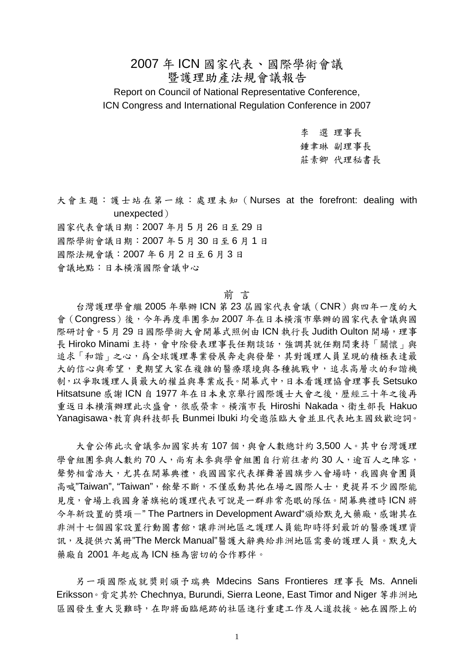# 2007 年 ICN 國家代表、國際學術會議 暨護理助產法規會議報告 Report on Council of National Representative Conference, ICN Congress and International Regulation Conference in 2007

李 選 理事長 鍾聿琳 副理事長 莊素卿 代理秘書長

大會主題:護士站在第一線:處理未知(Nurses at the forefront: dealing with unexpected)

國家代表會議日期:2007 年月 5 月 26 日至 29 日 國際學術會議日期:2007 年 5 月 30 日至 6 月 1 日 國際法規會議:2007 年 6 月 2 日至 6 月 3 日 會議地點:日本橫濱國際會議中心

### 前 言

 台灣護理學會繼 2005 年舉辦 ICN 第 23 屆國家代表會議(CNR)與四年一度的大 會(Congress)後,今年再度率團參加 2007 年在日本橫濱市舉辦的國家代表會議與國 際研討會。5月29日國際學術大會開幕式照例由ICN 執行長 Judith Oulton 開場,理事 長 Hiroko Minami 主持,會中除發表理事長任期談話,強調其就任期間秉持「關懷」與 追求「和諧」之心,爲全球護理專業發展奔走與發聲,其對護理人員呈現的積極表達最 大的信心與希望,更期望大家在複雜的醫療環境與各種挑戰中,追求高層次的和諧機 制,以爭取護理人員最大的權益與專業成長。開幕式中,日本看護理協會理事長 Setsuko Hitsatsune 感謝 ICN 自 1977 年在日本東京舉行國際護士大會之後,歷經三十年之後再 重返日本横濱辦理此次盛會,很感榮幸。橫濱市長 Hiroshi Nakada、衛生部長 Hakuo Yanagisawa、教育與科技部長 Bunmei Ibuki 均受邀蒞臨大會並且代表地主國致歡迎詞。

大會公佈此次會議參加國家共有107個,與會人數總計約3,500人。其中台灣護理 學會組團參與人數約 70 人,尚有未參與學會組團自行前往者約 30 人,逾百人之陣容, 聲勢相當浩大,尤其在開幕典禮,我國國家代表揮舞著國旗步入會場時,我國與會團員 高喊"Taiwan", "Taiwan", 餘聲不斷, 不僅感動其他在場之國際人士, 更提昇不少國際能 見度,會場上我國身著旗袍的護理代表可說是一群非常亮眼的隊伍。開幕典禮時 ICN 將 今年新設置的獎項-" The Partners in Development Award"頒給默克大藥廠,感謝其在 非洲十七個國家設置行動圖書館,讓非洲地區之護理人員能即時得到最訢的醫療護理資 訊,及提供六萬冊"The Merck Manual"醫護大辭典給非洲地區需要的護理人員。默克大 藥廠自 2001 年起成為 ICN 極為密切的合作夥伴。

另一項國際成就奬則頒予瑞典 Mdecins Sans Frontieres 理事長 Ms. Anneli Eriksson。肯定其於 Chechnya, Burundi, Sierra Leone, East Timor and Niger 等非洲地 區國發生重大災難時,在即將面臨絕跡的社區進行重建工作及人道救援。她在國際上的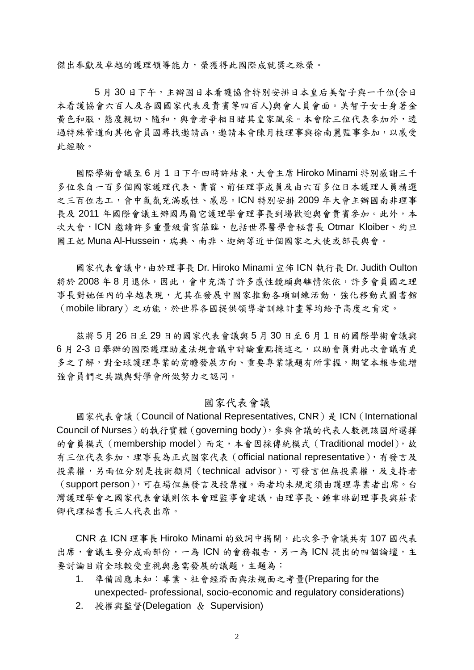傑出奉獻及卓越的護理領導能力,榮獲得此國際成就獎之殊榮。

5月30日下午,主辦國日本看護協會特別安排日本皇后美智子與一千位(含日 本看護協會六百人及各國國家代表及貴賓等四百人)與會人員會面。美智子女士身著金 黃色和服,態度親切、隨和,與會者爭相目睹其皇家風采。本會除三位代表參加外,透 過特殊管道向其他會員國尋找邀請函,邀請本會陳月枝理事與徐南麗監事參加,以感受 此經驗。

國際學術會議至 6 月 1 日下午四時許結束,大會主席 Hiroko Minami 特別感謝三千 多位來自一百多個國家護理代表、貴賓、前任理事成員及由六百多位日本護理人員精選 之三百位志工,會中氣氛充滿感性、感恩。ICN 特別安排 2009 年大會主辦國南非理事 長及 2011 年國際會議主辦國馬爾它護理學會理事長到場歡迎與會貴賓參加。此外,本 次大會,ICN 邀請許多重量級貴賓蒞臨,包括世界醫學會秘書長 Otmar Kloiber、約旦 國王妃 Muna Al-Hussein,瑞典、南非、迦納等近廿個國家之大使或部長與會。

國家代表會議中,由於理事長 Dr. Hiroko Minami 宣佈 ICN 執行長 Dr. Judith Oulton 將於 2008年8月退休,因此,會中充滿了許多感性鏡頭與離情依依,許多會員國之理 事長對她任內的卓越表現,尤其在發展中國家推動各項訓練活動,強化移動式圖書館 (mobile library)之功能,於世界各國提供領導者訓練計畫等均給予高度之肯定。

茲將 5 月 26 日至 29 日的國家代表會議與 5 月 30 日至 6 月 1 日的國際學術會議與 6 月 2-3 日舉辦的國際護理助產法規會議中討論重點摘述之,以助會員對此次會議有更 多之了解,對全球護理專業的前瞻發展方向、重要專業議題有所掌握,期望本報告能增 強會員們之共識與對學會所做努力之認同。

### 國家代表會議

國家代表會議 (Council of National Representatives, CNR) 是 ICN (International Council of Nurses)的執行實體(governing body),參與會議的代表人數視該國所選擇 的會員模式 (membership model) 而定,本會因採傳統模式 (Traditional model), 故 有三位代表參加,理事長為正式國家代表(official national representative),有發言及 投票權,另兩位分別是技術顧問(technical advisor),可發言但無投票權,及支持者 (support person),可在場但無發言及投票權。兩者均未規定須由護理專業者出席。台 灣護理學會之國家代表會議則依本會理監事會建議,由理事長、鍾聿琳副理事長與莊素 卿代理秘書長三人代表出席。

CNR 在 ICN 理事長 Hiroko Minami 的致詞中揭開,此次參予會議共有 107 國代表 出席,會議主要分成兩部份,一為 ICN 的會務報告,另一為 ICN 提出的四個論壇,主 要討論目前全球較受重視與急需發展的議題,主題為:

- 1. 準備因應未知:專業、社會經濟面與法規面之考量(Preparing for the unexpected- professional, socio-economic and regulatory considerations)
- 2. 授權與監督(Delegation & Supervision)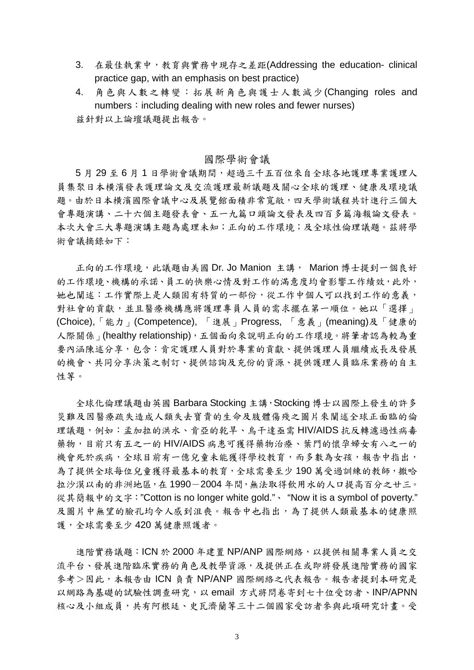- 3. 在最佳執業中,教育與實務中現存之差距(Addressing the education- clinical practice gap, with an emphasis on best practice)
- 4. 角色與人數之轉變:拓展新角色與護士人數減少(Changing roles and numbers: including dealing with new roles and fewer nurses) 兹針對以上論壇議題提出報告。

### 國際學術會議

5月29至6月1日學術會議期間,超過三千五百位來自全球各地護理專業護理人 員集聚日本横濱發表護理論文及交流護理最新議題及關心全球的護理、健康及環境議 題。由於日本横濱國際會議中心及展覽館面積非常寬敞,四天學術議程共計進行三個大 會專題演講、二十六個主題發表會、五一九篇口頭論文發表及四百多篇海報論文發表。 本次大會三大專題演講主題為處理未知;正向的工作環境;及全球性倫理議題。茲將學 術會議摘錄如下:

正向的工作環境,此議題由美國 Dr. Jo Manion 主講, Marion 博士提到一個良好 的工作環境、機構的承諾、員工的快樂心情及對工作的滿意度均會影響工作績效,此外, 她也闡述:工作實際上是人類固有特質的一部份,從工作中個人可以找到工作的意義, 對社會的貢獻,並且醫療機構應將護理專員人員的需求擺在第一順位。她以「選擇」 (Choice),「能力」(Competence), 「進展」Progress, 「意義」(meaning)及「健康的 人際關係」(healthy relationship),五個面向來說明正向的工作環境。將筆者認為較為重 要內涵陳述分享,包含:肯定護理人員對於專業的貢獻、提供護理人員繼續成長及發展 的機會、共同分享決策之制訂、提供諮詢及充份的資源、提供護理人員臨床業務的自主 性等。

全球化倫理議題由英國 Barbara Stocking 主講,Stocking 博士以國際上發生的許多 災難及因醫療疏失造成人類失去寶貴的生命及肢體傷殘之圖片來闡述全球正面臨的倫 理議題,例如:孟加拉的洪水、肯亞的乾旱、烏干達亟需 HIV/AIDS 抗反轉濾過性病毒 藥物,目前只有五之一的 HIV/AIDS 病患可獲得藥物治療、葉門的懷孕婦女有八之一的 機會死於疾病,全球目前有一億兒童未能獲得學校教育,而多數為女孩,報告中指出, 為了提供全球每位兒童獲得最基本的教育,全球需要至少 190 萬受過訓練的教師,撒哈 拉沙漠以南的非洲地區,在 1990-2004 年間,無法取得飲用水的人口提高百分之廿三。 從其簡報中的文字:"Cotton is no longer white gold."、 "Now it is a symbol of poverty." 及圖片中無望的臉孔均令人感到沮喪。報告中也指出,為了提供人類最基本的健康照 護,全球需要至少 420 萬健康照護者。

進階實務議題: ICN 於 2000 年建置 NP/ANP 國際網絡, 以提供相關專業人員之交 流平台、發展進階臨床實務的角色及教學資源,及提供正在或即將發展進階實務的國家 參考>因此,本報告由 ICN 負責 NP/ANP 國際網絡之代表報告。報告者提到本研究是 以網路為基礎的試驗性調查研究,以 email 方式將問卷寄到七十位受訪者、INP/APNN 核心及小組成員,共有阿根廷、史瓦濟蘭等三十二個國家受訪者參與此項研究計畫。受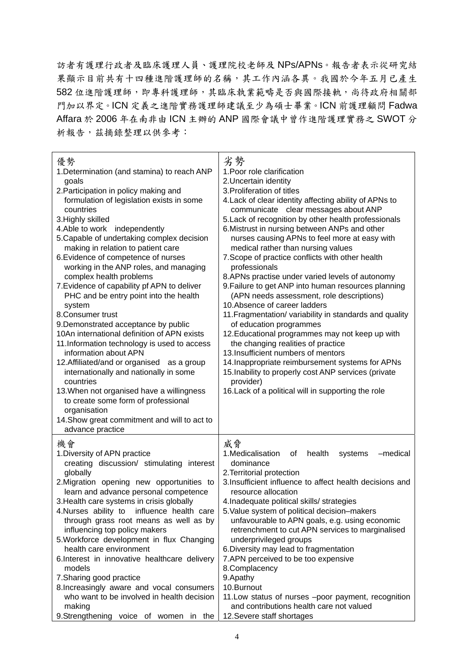訪者有護理行政者及臨床護理人員、護理院校老師及 NPs/APNs。報告者表示從研究結 果顯示目前共有十四種進階護理師的名稱,其工作內涵各異。我國於今年五月已產生 582 位進階護理師,即專科護理師,其臨床執業範疇是否與國際接軌,尚待政府相關部 門加以界定。ICN 定義之進階實務護理師建議至少為碩士畢業。ICN 前護理顧問 Fadwa Affara 於 2006 年在南非由 ICN 主辦的 ANP 國際會議中曾作進階護理實務之 SWOT 分 析報告,茲摘錄整理以供參考:

| 優勢<br>1. Determination (and stamina) to reach ANP<br>goals<br>2. Participation in policy making and<br>formulation of legislation exists in some<br>countries<br>3. Highly skilled<br>4. Able to work<br>independently<br>5. Capable of undertaking complex decision<br>making in relation to patient care<br>6. Evidence of competence of nurses<br>working in the ANP roles, and managing<br>complex health problems<br>7. Evidence of capability pf APN to deliver<br>PHC and be entry point into the health<br>system<br>8.Consumer trust<br>9. Demonstrated acceptance by public<br>10An international definition of APN exists<br>11. Information technology is used to access<br>information about APN<br>12. Affiliated/and or organised<br>as a group<br>internationally and nationally in some<br>countries<br>13. When not organised have a willingness<br>to create some form of professional<br>organisation<br>14. Show great commitment and will to act to<br>advance practice | 劣勢<br>1. Poor role clarification<br>2. Uncertain identity<br>3. Proliferation of titles<br>4. Lack of clear identity affecting ability of APNs to<br>communicate clear messages about ANP<br>5. Lack of recognition by other health professionals<br>6. Mistrust in nursing between ANPs and other<br>nurses causing APNs to feel more at easy with<br>medical rather than nursing values<br>7. Scope of practice conflicts with other health<br>professionals<br>8.APNs practise under varied levels of autonomy<br>9. Failure to get ANP into human resources planning<br>(APN needs assessment, role descriptions)<br>10. Absence of career ladders<br>11. Fragmentation/ variability in standards and quality<br>of education programmes<br>12. Educational programmes may not keep up with<br>the changing realities of practice<br>13. Insufficient numbers of mentors<br>14. Inappropriate reimbursement systems for APNs<br>15. Inability to properly cost ANP services (private<br>provider)<br>16. Lack of a political will in supporting the role |
|-----------------------------------------------------------------------------------------------------------------------------------------------------------------------------------------------------------------------------------------------------------------------------------------------------------------------------------------------------------------------------------------------------------------------------------------------------------------------------------------------------------------------------------------------------------------------------------------------------------------------------------------------------------------------------------------------------------------------------------------------------------------------------------------------------------------------------------------------------------------------------------------------------------------------------------------------------------------------------------------------|--------------------------------------------------------------------------------------------------------------------------------------------------------------------------------------------------------------------------------------------------------------------------------------------------------------------------------------------------------------------------------------------------------------------------------------------------------------------------------------------------------------------------------------------------------------------------------------------------------------------------------------------------------------------------------------------------------------------------------------------------------------------------------------------------------------------------------------------------------------------------------------------------------------------------------------------------------------------------------------------------------------------------------------------------------------|
| 機會<br>1. Diversity of APN practice<br>creating discussion/ stimulating interest<br>globally<br>2. Migration opening new opportunities to<br>learn and advance personal competence<br>3. Health care systems in crisis globally<br>4. Nurses ability to influence health care<br>through grass root means as well as by<br>influencing top policy makers<br>5. Workforce development in flux Changing<br>health care environment<br>6. Interest in innovative healthcare delivery<br>models<br>7. Sharing good practice<br>8. Increasingly aware and vocal consumers<br>who want to be involved in health decision<br>making<br>9.Strengthening voice of women<br>in the                                                                                                                                                                                                                                                                                                                       | 威脅<br>1. Medicalisation<br>of<br>health<br>systems<br>-medical<br>dominance<br>2. Territorial protection<br>3. Insufficient influence to affect health decisions and<br>resource allocation<br>4. Inadequate political skills/ strategies<br>5. Value system of political decision-makers<br>unfavourable to APN goals, e.g. using economic<br>retrenchment to cut APN services to marginalised<br>underprivileged groups<br>6. Diversity may lead to fragmentation<br>7.APN perceived to be too expensive<br>8.Complacency<br>9. Apathy<br>10.Burnout<br>11. Low status of nurses -poor payment, recognition<br>and contributions health care not valued<br>12. Severe staff shortages                                                                                                                                                                                                                                                                                                                                                                      |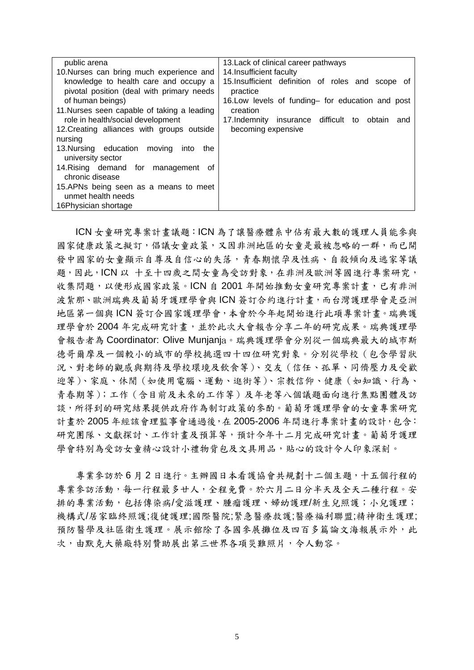| public arena                                                                                           | 13. Lack of clinical career pathways                                                                               |
|--------------------------------------------------------------------------------------------------------|--------------------------------------------------------------------------------------------------------------------|
| 10. Nurses can bring much experience and                                                               | 14. Insufficient faculty                                                                                           |
| knowledge to health care and occupy a<br>pivotal position (deal with primary needs<br>of human beings) | 15. Insufficient definition of roles and scope of<br>practice<br>16. Low levels of funding- for education and post |
| 11. Nurses seen capable of taking a leading                                                            | creation                                                                                                           |
| role in health/social development                                                                      | 17. Indemnity insurance difficult to obtain and                                                                    |
| 12. Creating alliances with groups outside                                                             | becoming expensive                                                                                                 |
| nursing                                                                                                |                                                                                                                    |
| 13. Nursing education moving<br>into<br>the<br>university sector                                       |                                                                                                                    |
| 14. Rising demand for management of<br>chronic disease                                                 |                                                                                                                    |
| 15.APNs being seen as a means to meet<br>unmet health needs                                            |                                                                                                                    |
| 16Physician shortage                                                                                   |                                                                                                                    |

ICN 女童研究專案計畫議題:ICN 為了讓醫療體系中佔有最大數的護理人員能參與 國家健康政策之擬訂,倡議女童政策,又因非洲地區的女童是最被忽略的一群,而已開 發中國家的女童顯示自尊及自信心的失落,青春期懷孕及性病、自殺傾向及逃家等議 題,因此,ICN 以 十至十四歲之間女童為受訪對象,在非洲及歐洲等國進行專案研究, 收集問題,以便形成國家政策。ICN 自 2001 年開始推動女童研究專案計畫,已有非洲 波紮那、歐洲瑞典及葡萄牙護理學會與ICN 簽訂合約進行計畫,而台灣護理學會是亞洲 地區第一個與 ICN 簽訂合國家護理學會,本會於今年起開始進行此項專案計畫。瑞典護 理學會於 2004年完成研究計書,並於此次大會報告分享二年的研究成果。瑞典護理學 會報告者為 Coordinator: Olive Munjanja。瑞典護理學會分別從一個瑞典最大的城市斯 德哥爾摩及一個較小的城市的學校挑選四十四位研究對象。分別從學校(包含學習狀 況、對老師的觀感與期待及學校環境及飲食等)、交友(信任、孤單、同儕壓力及受歡 迎等)、家庭、休閒(如使用電腦、運動、逛街等)、宗教信仰、健康(如知識、行為、 青春期等);工作(含目前及未來的工作等)及年老等八個議題面向進行焦點團體及訪 談,所得到的研究結果提供政府作為制訂政策的參酌。葡萄牙護理學會的女童專案研究 計畫於 2005 年經該會理監事會通過後,在 2005-2006 年間進行專案計畫的設計,包含: 研究團隊、文獻探討、工作計畫及預算等,預計今年十二月完成研究計畫。葡萄牙護理 學會特別為受訪女童精心設計小禮物背包及文具用品,貼心的設計令人印象深刻。

專業參訪於 6 月 2 日進行。主辦國日本看護協會共規劃十二個主題,十五個行程的 專業參訪活動,每一行程最多廿人,全程免費。於六月二日分半天及全天二種行程。安 排的專業活動,包括傳染病/愛滋護理、腫瘤護理、婦幼護理/新生兒照護;小兒護理; 機構式/居家臨終照護;復健護理;國際醫院;緊急醫療救護;醫療福利聯盟;精神衛生護理; 預防醫學及社區衛生護理。展示館除了各國參展攤位及四百多篇論文海報展示外,此 次,由默克大藥廠特別贊助展出第三世界各項災難照片,令人動容。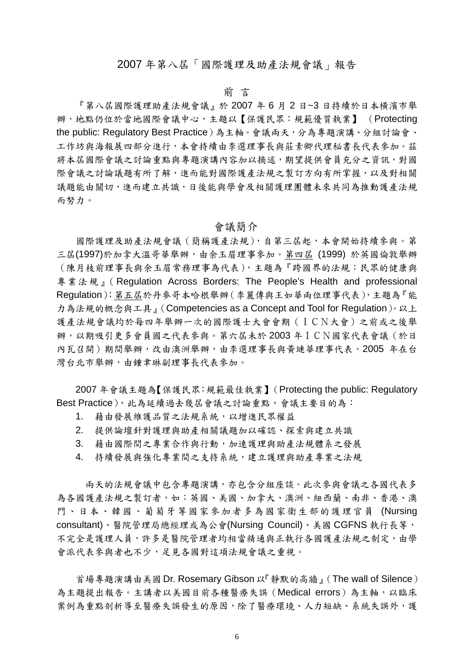# 2007 年第八屆「國際護理及助產法規會議」報告

# 前 言

『第八屆國際護理助產法規會議』於 2007 年 6 月 2 日~3 日持續於日本橫濱市舉 辦,地點仍位於當地國際會議中心,主題以【保護民眾:規範優質執業】 (Protecting the public: Regulatory Best Practice)為主軸。會議兩天,分為專題演講、分組討論會、 工作坊與海報展四部分進行,本會持續由李選理事長與莊素卿代理秘書長代表參加。茲 將本屆國際會議之討論重點與專題演講內容加以摘述,期望提供會員充分之資訊,對國 際會議之討論議題有所了解,進而能對國際護產法規之製訂方向有所掌握,以及對相關 議題能由關切,進而建立共識,日後能與學會及相關護理團體未來共同為推動護產法規 而努力。

### 會議簡介

國際護理及助產法規會議(簡稱護產法規),自第三屆起,本會開始持續參與。第 三屆(1997)於加拿大溫哥華舉辦,由余玉眉理事參加。第四屆 (1999) 於英國倫敦舉辦 (陳月枝前理事長與余玉眉常務理事為代表),主題為『跨國界的法規:民眾的健康與 專業法規』(Regulation Across Borders: The People's Health and professional Regulation);第五屆於丹麥哥本哈根舉辦(李麗傳與王如華兩位理事代表),主題為『能 力為法規的概念與工具』(Competencies as a Concept and Tool for Regulation)。以上 護產法規會議均於每四年舉辦一次的國際護士大會會期(ICN大會)之前或之後舉 辦,以期吸引更多會員國之代表參與。第六屆未於 2003 年ICN國家代表會議(於日 內瓦召開)期間舉辦,改由澳洲舉辦,由李選理事長與黃璉華理事代表。2005年在台 灣台北市舉辦,由鍾聿琳副理事長代表參加。

2007 年會議主題為【保護民眾:規範最佳執業】(Protecting the public: Regulatory Best Practice), 此為延續過去幾屆會議之討論重點,會議主要目的為:

- 1. 藉由發展維護品質之法規系統,以增進民眾權益
- 2. 提供論壇針對護理與助產相關議題加以確認、探索與建立共識
- 3. 藉由國際間之專業合作與行動,加速護理與助產法規體系之發展
- 4. 持續發展與強化專業間之支持系統,建立護理與助產專業之法規

 兩天的法規會議中包含專題演講,亦包含分組座談。此次參與會議之各國代表多 為各國護產法規之製訂者,如:英國、美國、加拿大、澳洲、紐西蘭、南非、香港、澳 門、日本、韓國、葡萄牙等國家參加者多為國家衛生部的護理官員 (Nursing consultant)、醫院管理局總經理或為公會(Nursing Council)、美國 CGFNS 執行長等, 不完全是護理人員,許多是醫院管理者均相當精通與正執行各國護產法規之制定,由學 會派代表參與者也不少,足見各國對這項法規會議之重視。

首場專題演講由美國 Dr. Rosemary Gibson 以『靜默的高牆』(The wall of Silence) 為主題提出報告。主講者以美國目前各種醫療失誤(Medical errors)為主軸,以臨床 案例為重點剖析導至醫療失誤發生的原因,除了醫療環境、人力短缺、系統失誤外,護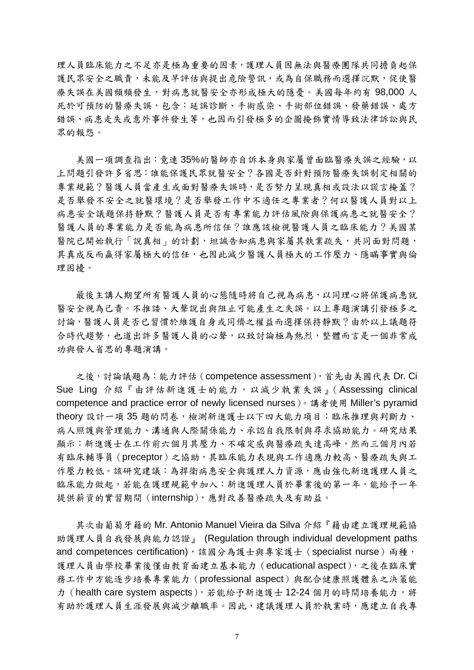理人員臨床能力之不足亦是極為重要的因素,護理人員因無法與醫療團隊共同擔負起保 護民眾安全之職責,未能及早評估與提出危險警訊,或為自保職務而選擇沉默,促使醫 療失誤在美國頻頻發生,對病患就醫安全亦形成極大的隱憂。美國每年約有 98,000 人 死於可預防的醫療失誤,包含:延誤診斷、手術感染、手術部位錯誤、發藥錯誤、處方 錯誤、病患走失或意外事件發生等,也因而引發極多的企圖掩飾實情導致法律訴訟與民 眾的報怨。

 美國一項調查指出:竟連 35%的醫師亦自訴本身與家屬曾面臨醫療失誤之經驗,以 上問題引發許多省思:誰能保護民眾就醫安全?各國是否針對預防醫療失誤制定相關的 專業規範?醫護人員當產生或面對醫療失誤時,是否努力呈現真相或設法以謊言掩蓋? 是否舉發不安全之就醫環境?是否舉發工作中不適任之專業者?何以醫護人員對以上 病患安全議題保持靜默?醫護人員是否有專業能力評估風險與保護病患之就醫安全? 醫護人員的專業能力是否能為病患所信任?誰應該檢視醫護人員之臨床能力?美國某 醫院已開始執行「說真相」的計劃,坦誠告知病患與家屬其執業疏失,共同面對問題, 其真成反而贏得家屬極大的信任,也因此減少醫護人員極大的工作壓力、隱瞞事實與倫 理困擾。

最後主講人期望所有醫護人員的心態隨時將自己視為病患,以同理心將保護病患就 醫安全視為己責。不推諉、大聲說出與阻止可能產生之失誤。以上專題演講引發極多之 討論,醫護人員是否已習慣於維護自身或同儕之權益而選擇保持靜默?由於以上議題符 合時代趨勢,也道出許多醫護人員的心聲,以致討論極為熱烈,整體而言是一個非常成 功與發人省思的專題演講。

之後,討論議題為:能力評估 (competence assessment), 首先由美國代表 Dr. Ci Sue Ling 介紹『由評估新進護士的能力,以減少執業失誤』(Assessing clinical competence and practice error of newly licensed nurses)。講者使用 Miller's pyramid theory 設計一項 35 題的問卷,檢測新進護士以下四大能力項目:臨床推理與判斷力、 病人照護與管理能力、溝通與人際關係能力、承認自我限制與尋求協助能力。研究結果 顯示:新進護士在工作前六個月其壓力、不確定感與醫療疏失達高峰,然而三個月內若 有臨床輔導員(preceptor)之協助,其臨床能力表現與工作適應力較高、醫療疏失與工 作壓力較低。該研究建議:為捍衛病患安全與護理人力資源,應由強化新進護理人員之 臨床能力做起,若能在護理規範中加入:新進護理人員於畢業後的第一年,能給予一年 提供薪資的實習期間(internship),應對改善醫療疏失及有助益。

 其次由葡萄牙籍的 Mr. Antonio Manuel Vieira da Silva 介紹『藉由建立護理規範協 助護理人員自我發展與能力認證』 (Regulation through individual development paths and competences certification),該國分為護士與專家護士(specialist nurse)兩種, 護理人員由學校畢業後僅由教育面建立基本能力(educational aspect),之後在臨床實 務工作中方能逐步培養專業能力(professional aspect)與配合健康照護體系之決策能 力 (health care system aspects),若能給予新進護士 12-24 個月的時間培養能力,將 有助於護理人員生涯發展與減少離職率。因此,建議護理人員於執業時,應建立自我專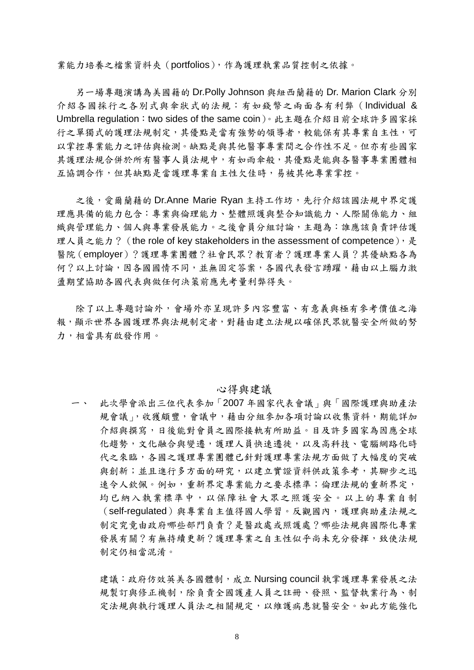業能力培養之檔案資料夾(portfolios),作為護理執業品質控制之依據。

 另一場專題演講為美國籍的 Dr.Polly Johnson 與紐西蘭籍的 Dr. Marion Clark 分別 介紹各國採行之各別式與傘狀式的法規:有如錢幣之兩面各有利弊(Individual & Umbrella regulation:two sides of the same coin)。此主題在介紹目前全球許多國家採 行之單獨式的護理法規制定,其優點是當有強勢的領導者,較能保有其專業自主性,可 以掌控專業能力之評估與檢測。缺點是與其他醫事專業間之合作性不足。但亦有些國家 其護理法規合併於所有醫事人員法規中,有如雨傘般,其優點是能與各醫事專業團體相 互協調合作,但其缺點是當護理專業自主性欠佳時,易被其他專業掌控。

之後,愛爾蘭藉的 Dr.Anne Marie Ryan 主持工作坊,先行介紹該國法規中界定護 理應具備的能力包含:專業與倫理能力、整體照護與整合知識能力、人際關係能力、組 織與管理能力、個人與專業發展能力。之後會員分組討論,主題為:誰應該負責評估護 理人員之能力? (the role of key stakeholders in the assessment of competence),  $\frac{1}{k}$ 醫院(employer)?護理專業團體?社會民眾?教育者?護理專業人員?其優缺點各為 何?以上討論,因各國國情不同,並無固定答案,各國代表發言踴躍,藉由以上腦力激 盪期望協助各國代表與做任何決策前應先考量利弊得失。

除了以上專題討論外,會場外亦呈現許多內容豐富、有意義與極有參考價值之海 報,顯示世界各國護理界與法規制定者,對藉由建立法規以確保民眾就醫安全所做的努 力,相當具有啟發作用。

#### 心得與建議

一、 此次學會派出三位代表參加「2007 年國家代表會議」與「國際護理與助產法 規會議」,收獲頗豐,會議中,藉由分組參加各項討論以收集資料,期能詳加 介紹與撰寫,日後能對會員之國際接軌有所助益。目及許多國家為因應全球 化趨勢,文化融合與變遷,護理人員快速遷徙,以及高科技、電腦網路化時 代之來臨,各國之護理專業團體已針對護理專業法規方面做了大幅度的突破 與創新;並且進行多方面的研究,以建立實證資料供政策參考,其腳步之迅 速令人欽佩。例如,重新界定專業能力之要求標準;倫理法規的重新界定, 均已納入執業標準中,以保障社會大眾之照護安全。以上的專業自制 (self-regulated)與專業自主值得國人學習。反觀國內,護理與助產法規之 制定究竟由政府哪些部門負責?是醫政處或照護處?哪些法規與國際化專業 發展有關?有無持續更新?護理專業之自主性似乎尚未充分發揮,致使法規 制定仍相當混淆。

建議:政府仿效英美各國體制,成立 Nursing council 執掌護理專業發展之法 規製訂與修正機制,除負責全國護產人員之註冊、發照、監督執業行為、制 定法規與執行護理人員法之相關規定,以維護病患就醫安全。如此方能強化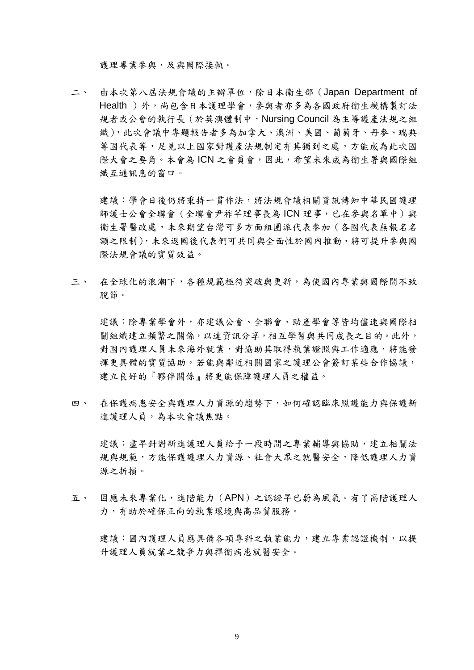護理專業參與,及與國際接軌。

二、 由本次第八屆法規會議的主辦單位,除日本衛生部(Japan Department of Health)外,尚包含日本護理學會,參與者亦多為各國政府衛生機構製訂法 規者或公會的執行長(於英澳體制中,Nursing Council 為主導護產法規之組 織),此次會議中專題報告者多為加拿大、澳洲、美國、葡萄牙、丹麥、瑞典 等國代表等,足見以上國家對護產法規制定有其獨到之處,方能成為此次國 際大會之要角。本會為 ICN 之會員會,因此,希望未來成為衛生署與國際組 織互通訊息的窗口。

建議:學會日後仍將秉持一貫作法,將法規會議相關資訊轉知中華民國護理 師護士公會全聯會(全聯會尹祚芊理事長為 ICN 理事,已在參與名單中)與 衛生署醫政處,未來期望台灣可多方面組團派代表參加(各國代表無報名名 額之限制),未來返國後代表們可共同與全面性於國內推動,將可提升參與國 際法規會議的實質效益。

三、 在全球化的浪潮下,各種規範極待突破與更新,為使國內專業與國際間不致 脫節。

建議:除專業學會外,亦建議公會、全聯會、助產學會等皆均儘速與國際相 關組織建立頻繁之關係,以達資訊分享,相互學習與共同成長之目的。此外, 對國內護理人員未來海外就業,對協助其取得執業證照與工作適應,將能發 揮更具體的實質協助。若能與鄰近相關國家之護理公會簽訂某些合作協議, 建立良好的『夥伴關係』將更能保障護理人員之權益。

四、 在保護病患安全與護理人力資源的趨勢下,如何確認臨床照護能力與保護新 進護理人員,為本次會議焦點。

建議:書早針對新進護理人員給予一段時間之專業輔導與協助,建立相關法 規與規範,方能保護護理人力資源、社會大眾之就醫安全,降低護理人力資 源之折損。

五、 因應未來專業化,進階能力(APN)之認證早已蔚為風氣。有了高階護理人 力,有助於確保正向的執業環境與高品質服務。

建議:國內護理人員應具備各項專科之執業能力,建立專業認證機制,以提 升護理人員就業之競爭力與捍衛病患就醫安全。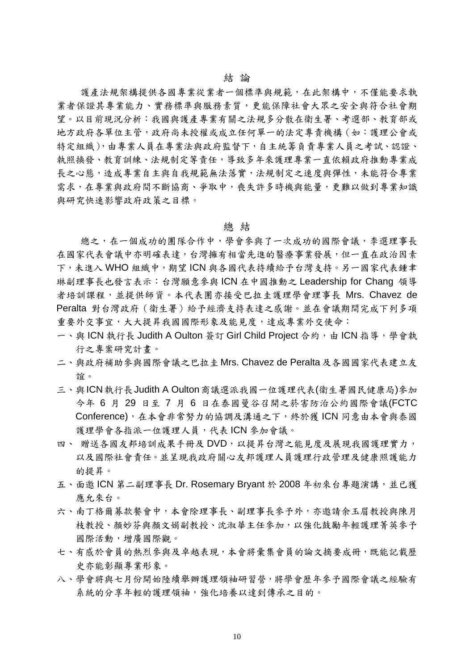護產法規架構提供各國專業從業者一個標準與規範,在此架構中,不僅能要求執 業者保證其專業能力、實務標準與服務素質,更能保障社會大眾之安全與符合社會期 望。以目前現況分析:我國與護產專業有關之法規多分散在衛生署、考選部、教育部或 地方政府各單位主管,政府尚未授權或成立任何單一的法定專責機構(如:護理公會或 特定組織),由專業人員在專業法與政府監督下,自主統籌負責專業人員之考試、認證、 執照換發、教育訓練、法規制定等責任,導致多年來護理專業一直依賴政府推動專業成 長之心態,造成專業自主與自我規範無法落實,法規制定之速度與彈性,未能符合專業 需求,在專業與政府間不斷協商、爭取中,喪失許多時機與能量,更難以做到專業知識 與研究快速影響政府政策之目標。

#### 總 結

總之,在一個成功的團隊合作中,學會參與了一次成功的國際會議,李選理事長 在國家代表會議中亦明確表達,台灣擁有相當先進的醫療事業發展,但一直在政治因素 下,未進入 WHO 組織中,期望 ICN 與各國代表持續給予台灣支持。另一國家代表鍾聿 琳副理事長也發言表示:台灣願意參與 ICN 在中國推動之 Leadership for Chang 領導 者培訓課程,並提供師資。本代表團亦接受巴拉圭護理學會理事長 Mrs. Chavez de Peralta 對台灣政府(衛生署)給予經濟支持表達之感謝。並在會議期間完成下列多項 重要外交事宜,大大提昇我國國際形象及能見度,達成專業外交使命:

- 一、與 ICN 執行長 Judith A Oulton 簽訂 Girl Child Project 合約,由 ICN 指導,學會執 行之專案研究計畫。
- 二、與政府補助參與國際會議之巴拉圭 Mrs. Chavez de Peralta 及各國國家代表建立友 誼。
- 三、與ICN執行長Judith A Oulton商議選派我國一位護理代表(衛生署國民健康局)參加 今年 6 月 29 日至 7 月 6 日在泰國曼谷召開之菸害防治公約國際會議(FCTC Conference),在本會非常努力的協調及溝通之下,終於獲 ICN 同意由本會與泰國 護理學會各指派一位護理人員,代表 ICN 參加會議。
- 四、 贈送各國友邦培訓成果手冊及 DVD,以提昇台灣之能見度及展現我國護理實力, 以及國際社會責任。並呈現我政府關心友邦護理人員護理行政管理及健康照護能力 的提昇。
- 五、面邀 ICN 第二副理事長 Dr. Rosemary Bryant 於 2008 年初來台專題演講,並已獲 應允來台。
- 六、南丁格爾募款餐會中,本會除理事長、副理事長參予外,亦邀請余玉眉教授與陳月 枝教授、顏妙芬與顏文娟副教授、沈淑華主任參加,以強化鼓勵年輕護理菁英參予 國際活動,增廣國際觀。
- 七、有感於會員的熱烈參與及卓越表現,本會將彙集會員的論文摘要成冊,既能記載歷 史亦能彰顯專業形象。
- 八、學會將與七月份開始陸續舉辦護理領袖研習營,將學會歷年參予國際會議之經驗有 系統的分享年輕的護理領袖,強化培養以達到傳承之目的。